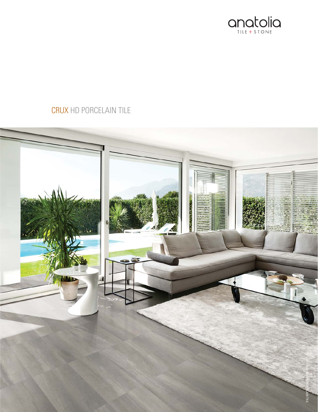

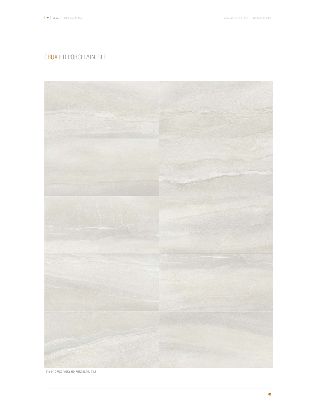

12" x 24" CRUX IVORY HD PORCELAIN TILE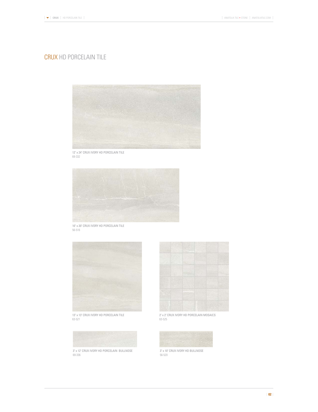

12" x 24" CRUX IVORY HD PORCELAIN TILE 69-332



10" x 20" CRUX IVORY HD PORCELAIN TILE 56-516



13" x 13" CRUX IVORY HD PORCELAIN TILE 63-521



3" x 12" CRUX IVORY HD PORCELAIN BULLNOSE 69-336



2" x 2" CRUX IVORY HD PORCELAIN MOSAICS 63-525



3" x 10" CRUX IVORY HD BULLNOSE 56-520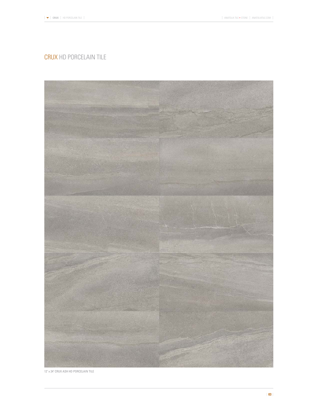

12" x 24" CRUX ASH HD PORCELAIN TILE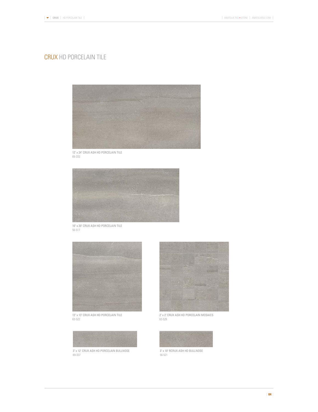

12" x 24" CRUX ASH HD PORCELAIN TILE 69-333



10" x 20" CRUX ASH HD PORCELAIN TILE 56-517



13" x 13" CRUX ASH HD PORCELAIN TILE 63-522



69-337



2" x 2" CRUX ASH HD PORCELAIN MOSAICS 63-526



3" x 10" RCRUX ASH HD BULLNOSE 56-521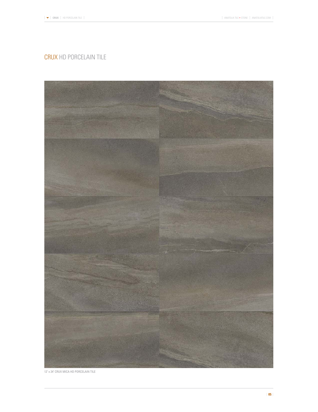

12" x 24" CRUX MICA HD PORCELAIN TILE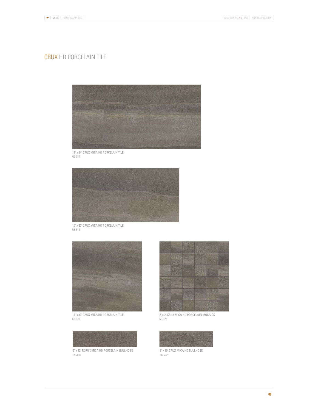

12" x 24" CRUX MICA HD PORCELAIN TILE 69-334



10" x 20" CRUX MICA HD PORCELAIN TILE 56-518



13" x 13" CRUX MICA HD PORCELAIN TILE 63-523



69-338



2" x 2" CRUX MICA HD PORCELAIN MOSAICS 63-527



56-522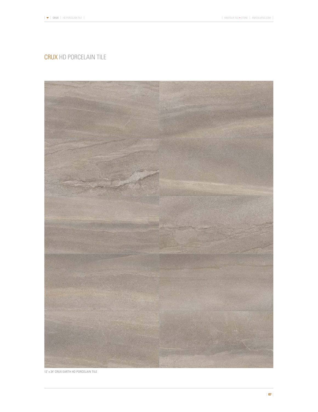

12" x 24" CRUX EARTH HD PORCELAIN TILE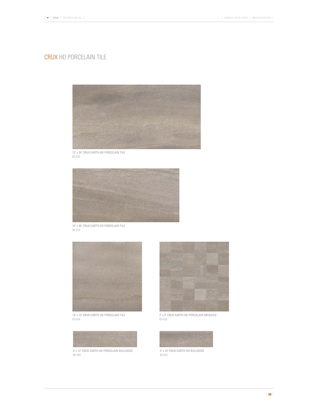

12" x 24" CRUX EARTH HD PORCELAIN TILE 69-335



10" x 20" CRUX EARTH HD PORCELAIN TILE 56-519



13" x 13" CRUX EARTH HD PORCELAIN TILE 63-524



69-339



2" x 2" CRUX EARTH HD PORCELAIN MOSAICS 63-528



3" x 10" CRUX EARTH HD BULLNOSE 56-523